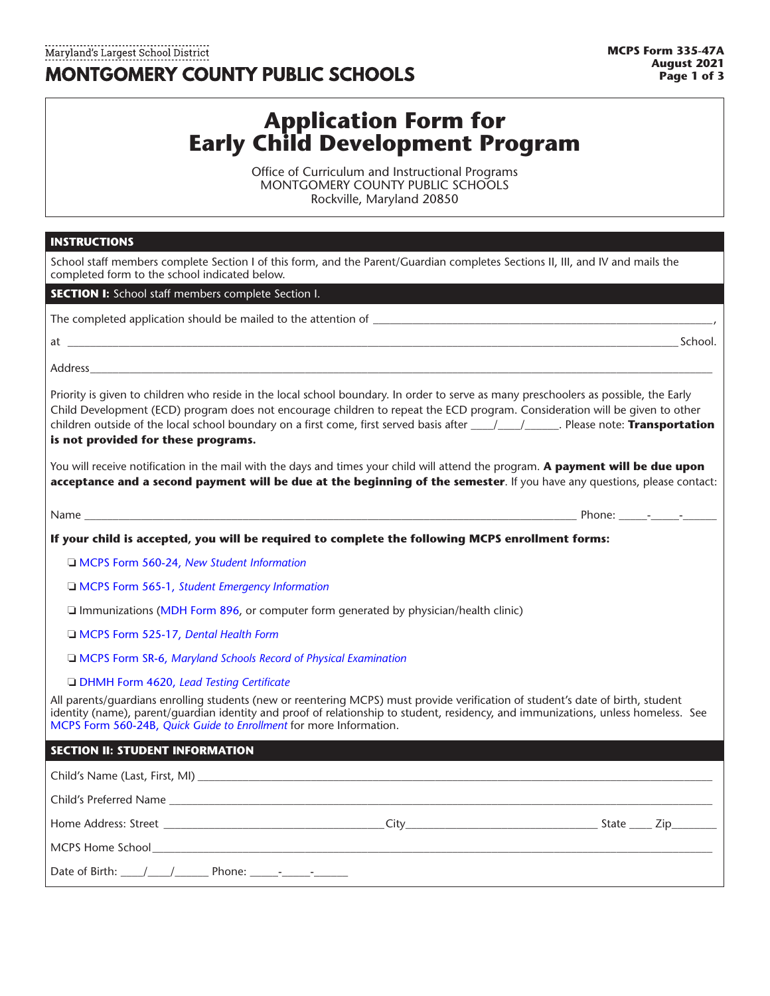## Maryland's Largest School District **MONTGOMERY COUNTY PUBLIC SCHOOLS**

# **Application Form for Early Child Development Program**

Office of Curriculum and Instructional Programs MONTGOMERY COUNTY PUBLIC SCHOOLS Rockville, Maryland 20850

### **INSTRUCTIONS**

| School staff members complete Section I of this form, and the Parent/Guardian completes Sections II, III, and IV and mails the<br>completed form to the school indicated below.                                                                                                                                                             |  |
|---------------------------------------------------------------------------------------------------------------------------------------------------------------------------------------------------------------------------------------------------------------------------------------------------------------------------------------------|--|
| <b>SECTION I:</b> School staff members complete Section I.                                                                                                                                                                                                                                                                                  |  |
|                                                                                                                                                                                                                                                                                                                                             |  |
| at <u>School.</u> School.                                                                                                                                                                                                                                                                                                                   |  |
| Address and the contract of the contract of the contract of the contract of the contract of the contract of the contract of the contract of the contract of the contract of the contract of the contract of the contract of th                                                                                                              |  |
| Priority is given to children who reside in the local school boundary. In order to serve as many preschoolers as possible, the Early<br>Child Development (ECD) program does not encourage children to repeat the ECD program. Consideration will be given to other<br>is not provided for these programs.                                  |  |
| You will receive notification in the mail with the days and times your child will attend the program. A payment will be due upon<br>acceptance and a second payment will be due at the beginning of the semester. If you have any questions, please contact:                                                                                |  |
|                                                                                                                                                                                                                                                                                                                                             |  |
| If your child is accepted, you will be required to complete the following MCPS enrollment forms:                                                                                                                                                                                                                                            |  |
| □ MCPS Form 560-24, New Student Information                                                                                                                                                                                                                                                                                                 |  |
| I MCPS Form 565-1, Student Emergency Information                                                                                                                                                                                                                                                                                            |  |
| $\Box$ Immunizations (MDH Form 896, or computer form generated by physician/health clinic)                                                                                                                                                                                                                                                  |  |
| MCPS Form 525-17, Dental Health Form                                                                                                                                                                                                                                                                                                        |  |
| I MCPS Form SR-6, Maryland Schools Record of Physical Examination                                                                                                                                                                                                                                                                           |  |
| <b>DHMH Form 4620, Lead Testing Certificate</b>                                                                                                                                                                                                                                                                                             |  |
| All parents/guardians enrolling students (new or reentering MCPS) must provide verification of student's date of birth, student<br>identity (name), parent/guardian identity and proof of relationship to student, residency, and immunizations, unless homeless. See<br>MCPS Form 560-24B, Quick Guide to Enrollment for more Information. |  |
| <b>SECTION II: STUDENT INFORMATION</b>                                                                                                                                                                                                                                                                                                      |  |
|                                                                                                                                                                                                                                                                                                                                             |  |
|                                                                                                                                                                                                                                                                                                                                             |  |
|                                                                                                                                                                                                                                                                                                                                             |  |
| MCPS Home School <b>Example 2018</b> The School and School and School and School and School and School and School and School and School and School and School and School and School and School and School and School and School and                                                                                                         |  |
| Date of Birth: $\frac{1}{2}$ / Phone: $\frac{1}{2}$ - $\frac{1}{2}$                                                                                                                                                                                                                                                                         |  |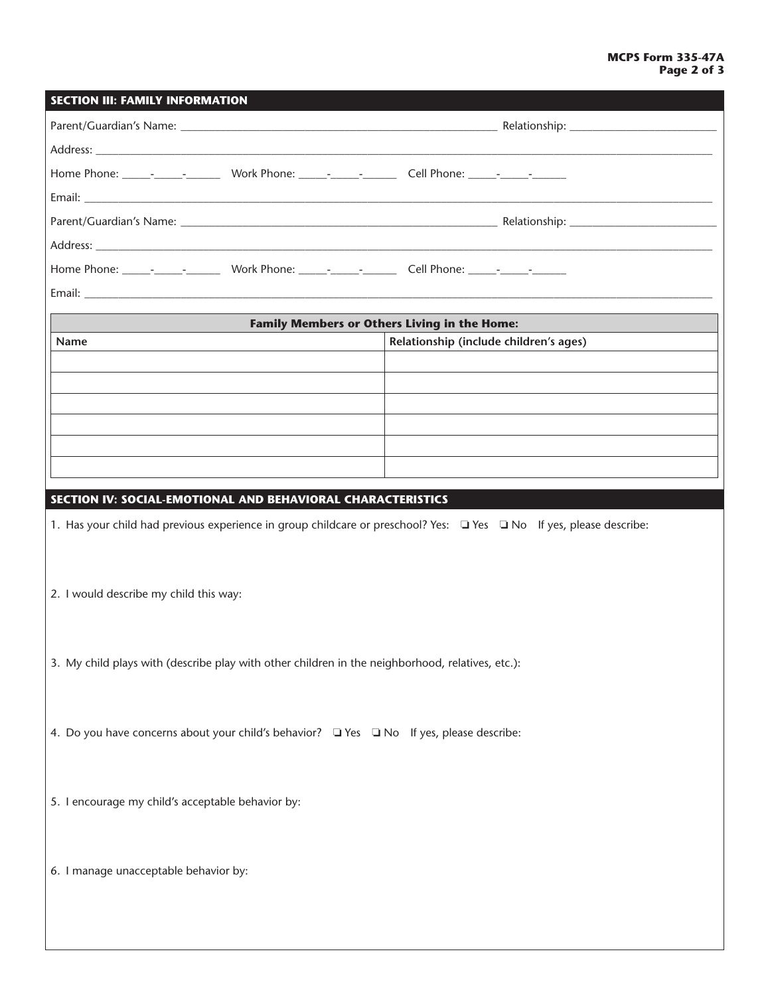| <b>SECTION III: FAMILY INFORMATION</b>                                                                              |                                                     |  |  |  |  |
|---------------------------------------------------------------------------------------------------------------------|-----------------------------------------------------|--|--|--|--|
|                                                                                                                     |                                                     |  |  |  |  |
|                                                                                                                     |                                                     |  |  |  |  |
|                                                                                                                     |                                                     |  |  |  |  |
|                                                                                                                     |                                                     |  |  |  |  |
|                                                                                                                     |                                                     |  |  |  |  |
|                                                                                                                     |                                                     |  |  |  |  |
|                                                                                                                     |                                                     |  |  |  |  |
|                                                                                                                     |                                                     |  |  |  |  |
|                                                                                                                     | <b>Family Members or Others Living in the Home:</b> |  |  |  |  |
| Name                                                                                                                | Relationship (include children's ages)              |  |  |  |  |
|                                                                                                                     |                                                     |  |  |  |  |
|                                                                                                                     |                                                     |  |  |  |  |
|                                                                                                                     |                                                     |  |  |  |  |
|                                                                                                                     |                                                     |  |  |  |  |
|                                                                                                                     |                                                     |  |  |  |  |
|                                                                                                                     |                                                     |  |  |  |  |
| SECTION IV: SOCIAL-EMOTIONAL AND BEHAVIORAL CHARACTERISTICS                                                         |                                                     |  |  |  |  |
| 1. Has your child had previous experience in group childcare or preschool? Yes: □ Yes □ No If yes, please describe: |                                                     |  |  |  |  |
|                                                                                                                     |                                                     |  |  |  |  |
| 2. I would describe my child this way:                                                                              |                                                     |  |  |  |  |
|                                                                                                                     |                                                     |  |  |  |  |
|                                                                                                                     |                                                     |  |  |  |  |
| 3. My child plays with (describe play with other children in the neighborhood, relatives, etc.):                    |                                                     |  |  |  |  |
|                                                                                                                     |                                                     |  |  |  |  |
|                                                                                                                     |                                                     |  |  |  |  |
| 4. Do you have concerns about your child's behavior? I Yes INo If yes, please describe:                             |                                                     |  |  |  |  |
|                                                                                                                     |                                                     |  |  |  |  |
|                                                                                                                     |                                                     |  |  |  |  |
| 5. I encourage my child's acceptable behavior by:                                                                   |                                                     |  |  |  |  |
|                                                                                                                     |                                                     |  |  |  |  |
|                                                                                                                     |                                                     |  |  |  |  |
| 6. I manage unacceptable behavior by:                                                                               |                                                     |  |  |  |  |
|                                                                                                                     |                                                     |  |  |  |  |
|                                                                                                                     |                                                     |  |  |  |  |